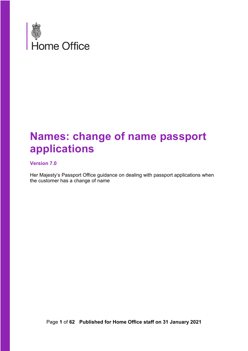

# **Names: change of name passport applications**

#### **Version 7.0**

Her Majesty's Passport Office guidance on dealing with passport applications when the customer has a change of name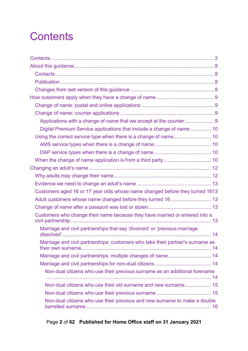# <span id="page-1-0"></span>**Contents**

| Digital Premium Service applications that include a change of name  10         |  |
|--------------------------------------------------------------------------------|--|
|                                                                                |  |
|                                                                                |  |
|                                                                                |  |
|                                                                                |  |
|                                                                                |  |
|                                                                                |  |
|                                                                                |  |
| Customers aged 16 or 17 year olds whose name changed before they turned 1613   |  |
|                                                                                |  |
|                                                                                |  |
| Customers who change their name because they have married or entered into a    |  |
| Marriage and civil partnerships that say 'divorced' or 'previous marriage      |  |
| Marriage and civil partnerships: customers who take their partner's surname as |  |
| Marriage and civil partnerships: multiple changes of name 14                   |  |
|                                                                                |  |
| Non-dual citizens who use their previous surname as an additional forename     |  |
|                                                                                |  |
| Non-dual citizens who use their old surname and new surname 15                 |  |
|                                                                                |  |
| Non-dual citizens who use their previous and new surname to make a double      |  |

# Page **2** of **62 Published for Home Office staff on 31 January 2021**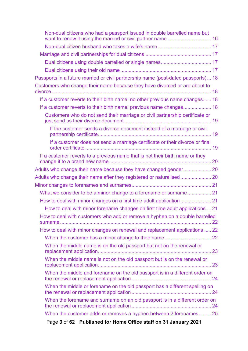| Page 3 of 62 Published for Home Office staff on 31 January 2021                                                                          |  |
|------------------------------------------------------------------------------------------------------------------------------------------|--|
| When the customer adds or removes a hyphen between 2 forenames 25                                                                        |  |
| When the forename and surname on an old passport is in a different order on                                                              |  |
| When the middle or forename on the old passport has a different spelling on                                                              |  |
| When the middle and forename on the old passport is in a different order on                                                              |  |
| When the middle name is not on the old passport but is on the renewal or                                                                 |  |
| When the middle name is on the old passport but not on the renewal or                                                                    |  |
|                                                                                                                                          |  |
| How to deal with minor changes on renewal and replacement applications  22                                                               |  |
| How to deal with customers who add or remove a hyphen on a double barrelled                                                              |  |
| How to deal with minor forename changes on first time adult applications 21                                                              |  |
|                                                                                                                                          |  |
| What we consider to be a minor change to a forename or surname 21                                                                        |  |
|                                                                                                                                          |  |
|                                                                                                                                          |  |
|                                                                                                                                          |  |
| If a customer reverts to a previous name that is not their birth name or they                                                            |  |
| If a customer does not send a marriage certificate or their divorce or final                                                             |  |
| If the customer sends a divorce document instead of a marriage or civil                                                                  |  |
| Customers who do not send their marriage or civil partnership certificate or                                                             |  |
| If a customer reverts to their birth name: previous name changes 18                                                                      |  |
| If a customer reverts to their birth name: no other previous name changes 18                                                             |  |
| Customers who change their name because they have divorced or are about to                                                               |  |
| Passports in a future married or civil partnership name (post-dated passports) 18                                                        |  |
|                                                                                                                                          |  |
|                                                                                                                                          |  |
|                                                                                                                                          |  |
| Non-dual citizens who had a passport issued in double barrelled name but<br>want to renew it using the married or civil partner name  16 |  |
|                                                                                                                                          |  |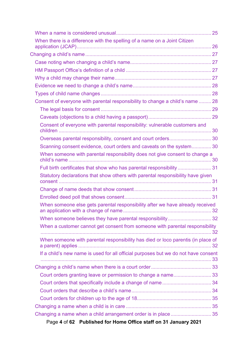| When there is a difference with the spelling of a name on a Joint Citizen          |  |
|------------------------------------------------------------------------------------|--|
|                                                                                    |  |
|                                                                                    |  |
|                                                                                    |  |
|                                                                                    |  |
|                                                                                    |  |
|                                                                                    |  |
| Consent of everyone with parental responsibility to change a child's name  28      |  |
|                                                                                    |  |
|                                                                                    |  |
| Consent of everyone with parental responsibility: vulnerable customers and         |  |
| Overseas parental responsibility, consent and court orders 30                      |  |
| Scanning consent evidence, court orders and caveats on the system 30               |  |
| When someone with parental responsibility does not give consent to change a        |  |
| Full birth certificates that show who has parental responsibility31                |  |
| Statutory declarations that show others with parental responsibility have given    |  |
|                                                                                    |  |
|                                                                                    |  |
| When someone else gets parental responsibility after we have already received      |  |
|                                                                                    |  |
| When a customer cannot get consent from someone with parental responsibility       |  |
| When someone with parental responsibility has died or loco parentis (in place of   |  |
| If a child's new name is used for all official purposes but we do not have consent |  |
|                                                                                    |  |
| Court orders granting leave or permission to change a name33                       |  |
|                                                                                    |  |
|                                                                                    |  |
|                                                                                    |  |
|                                                                                    |  |
| Changing a name when a child arrangement order is in place 35                      |  |
| Page 4 of 62 Published for Home Office staff on 31 January 2021                    |  |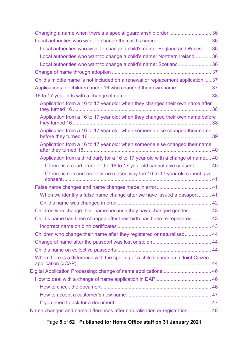| Local authorities who want to change a child's name: England and Wales  36        |  |
|-----------------------------------------------------------------------------------|--|
| Local authorities who want to change a child's name: Northern Ireland 36          |  |
| Local authorities who want to change a child's name: Scotland  36                 |  |
|                                                                                   |  |
| Child's middle name is not included on a renewal or replacement application  37   |  |
| Applications for children under 16 who changed their own name 37                  |  |
|                                                                                   |  |
| Application from a 16 to 17 year old: when they changed their own name after      |  |
| Application from a 16 to 17 year old: when they changed their own name before     |  |
| Application from a 16 to 17 year old: when someone else changed their name        |  |
| Application from a 16 to 17 year old: when someone else changed their name        |  |
| Application from a third party for a 16 to 17 year old with a change of name 40   |  |
| If there is a court order or the 16 to 17 year old cannot give consent 40         |  |
| If there is no court order or no reason why the 16 to 17 year old cannot give     |  |
|                                                                                   |  |
| When we identify a false name change after we have issued a passport  41          |  |
|                                                                                   |  |
| Children who change their name because they have changed gender  43               |  |
| Child's name has been changed after their birth has been re-registered 43         |  |
|                                                                                   |  |
| Children who change their name after they registered or naturalised 44            |  |
|                                                                                   |  |
|                                                                                   |  |
| When there is a difference with the spelling of a child's name on a Joint Citizen |  |
| Digital Application Processing: change of name applications 46                    |  |
|                                                                                   |  |
|                                                                                   |  |
|                                                                                   |  |
|                                                                                   |  |
| Name changes and name differences after naturalisation or registration 48         |  |

# Page **5** of **62 Published for Home Office staff on 31 January 2021**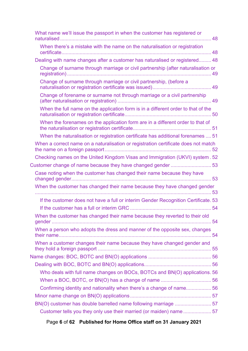| What name we'll issue the passport in when the customer has registered or          |  |
|------------------------------------------------------------------------------------|--|
| When there's a mistake with the name on the naturalisation or registration         |  |
| Dealing with name changes after a customer has naturalised or registered 48        |  |
| Change of surname through marriage or civil partnership (after naturalisation or   |  |
| Change of surname through marriage or civil partnership, (before a                 |  |
| Change of forename or surname not through marriage or a civil partnership          |  |
| When the full name on the application form is in a different order to that of the  |  |
| When the forenames on the application form are in a different order to that of     |  |
| When the naturalisation or registration certificate has additional forenames  51   |  |
| When a correct name on a naturalisation or registration certificate does not match |  |
| Checking names on the United Kingdom Visas and Immigration (UKVI) system . 52      |  |
| Customer change of name because they have changed gender53                         |  |
| Case noting when the customer has changed their name because they have             |  |
| When the customer has changed their name because they have changed gender          |  |
| If the customer does not have a full or interim Gender Recognition Certificate. 53 |  |
|                                                                                    |  |
| When the customer has changed their name because they reverted to their old        |  |
| When a person who adopts the dress and manner of the opposite sex, changes         |  |
| When a customer changes their name because they have changed gender and            |  |
|                                                                                    |  |
|                                                                                    |  |
| Who deals with full name changes on BOCs, BOTCs and BN(O) applications. 56         |  |
|                                                                                    |  |
| Confirming identity and nationality when there's a change of name56                |  |
|                                                                                    |  |
|                                                                                    |  |
| BN(O) customer has double barrelled name following marriage 57                     |  |

Page **6** of **62 Published for Home Office staff on 31 January 2021**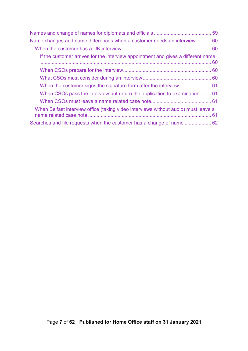| Name changes and name differences when a customer needs an interview 60            |  |
|------------------------------------------------------------------------------------|--|
|                                                                                    |  |
| If the customer arrives for the interview appointment and gives a different name   |  |
|                                                                                    |  |
|                                                                                    |  |
|                                                                                    |  |
| When CSOs pass the interview but return the application to examination  61         |  |
|                                                                                    |  |
| When Belfast interview office (taking video interviews without audio) must leave a |  |
|                                                                                    |  |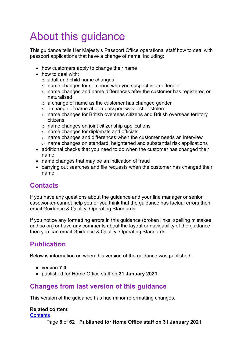# <span id="page-7-0"></span>About this guidance

This guidance tells Her Majesty's Passport Office operational staff how to deal with passport applications that have a change of name, including:

- how customers apply to change their name
- how to deal with:
	- o adult and child name changes
	- o name changes for someone who you suspect is an offender
	- o name changes and name differences after the customer has registered or naturalised
	- o a change of name as the customer has changed gender
	- o a change of name after a passport was lost or stolen
	- o name changes for British overseas citizens and British overseas territory citizens
	- $\circ$  name changes on joint citizenship applications
	- o name changes for diplomats and officials
	- o name changes and differences when the customer needs an interview
	- o name changes on standard, heightened and substantial risk applications
- additional checks that you need to do when the customer has changed their name
- name changes that may be an indication of fraud
- carrying out searches and file requests when the customer has changed their name

# <span id="page-7-1"></span>**Contacts**

If you have any questions about the guidance and your line manager or senior caseworker cannot help you or you think that the guidance has factual errors then email Guidance & Quality, Operating Standards.

If you notice any formatting errors in this guidance (broken links, spelling mistakes and so on) or have any comments about the layout or navigability of the guidance then you can email Guidance & Quality, Operating Standards.

# <span id="page-7-2"></span>**Publication**

Below is information on when this version of the guidance was published:

- version **7.0**
- published for Home Office staff on **31 January 2021**

# <span id="page-7-3"></span>**Changes from last version of this guidance**

This version of the guidance has had minor reformatting changes.

#### **Related content**

**[Contents](#page-1-0)** 

Page **8** of **62 Published for Home Office staff on 31 January 2021**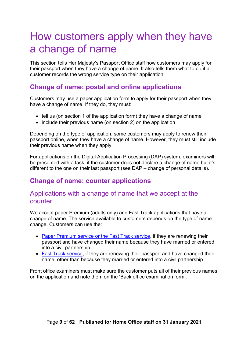# <span id="page-8-0"></span>How customers apply when they have a change of name

This section tells Her Majesty's Passport Office staff how customers may apply for their passport when they have a change of name. It also tells them what to do if a customer records the wrong service type on their application.

### <span id="page-8-1"></span>**Change of name: postal and online applications**

Customers may use a paper application form to apply for their passport when they have a change of name. If they do, they must:

- tell us (on section 1 of the application form) they have a change of name
- include their previous name (on section 2) on the application

Depending on the type of application, some customers may apply to renew their passport online, when they have a change of name. However, they must still include their previous name when they apply.

For applications on the Digital Application Processing (DAP) system, examiners will be presented with a task, if the customer does not declare a change of name but it's different to the one on their last passport (see DAP – change of personal details).

## <span id="page-8-2"></span>**Change of name: counter applications**

#### <span id="page-8-3"></span>Applications with a change of name that we accept at the counter

We accept paper Premium (adults only) and Fast Track applications that have a change of name. The service available to customers depends on the type of name change. Customers can use the:

- [Paper Premium service or the Fast Track service,](https://www.gov.uk/get-a-passport-urgently) if they are renewing their passport and have changed their name because they have married or entered into a civil partnership
- [Fast Track service,](https://www.gov.uk/get-a-passport-urgently) if they are renewing their passport and have changed their name, other than because they married or entered into a civil partnership

Front office examiners must make sure the customer puts all of their previous names on the application and note them on the 'Back office examination form'.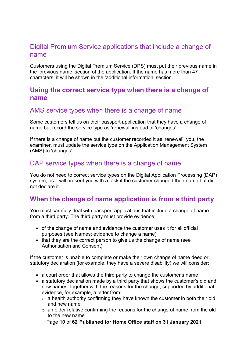### <span id="page-9-0"></span>Digital Premium Service applications that include a change of name

Customers using the Digital Premium Service (DPS) must put their previous name in the 'previous name' section of the application. If the name has more than 47 characters, it will be shown in the 'additional information' section.

## <span id="page-9-1"></span>**Using the correct service type when there is a change of name**

### <span id="page-9-2"></span>AMS service types when there is a change of name

Some customers tell us on their passport application that they have a change of name but record the service type as 'renewal' instead of 'changes'.

If there is a change of name but the customer recorded it as 'renewal', you, the examiner, must update the service type on the Application Management System (AMS) to 'changes'.

### <span id="page-9-3"></span>DAP service types when there is a change of name

You do not need to correct service types on the Digital Application Processing (DAP) system, as it will present you with a task if the customer changed their name but did not declare it.

# <span id="page-9-4"></span>**When the change of name application is from a third party**

You must carefully deal with passport applications that include a change of name from a third party. The third party must provide evidence:

- of the change of name and evidence the customer uses it for all official purposes (see Names: evidence to change a name)
- that they are the correct person to give us the change of name (see Authorisation and Consent)

If the customer is unable to complete or make their own change of name deed or statutory declaration (for example, they have a severe disability) we will consider:

- a court order that allows the third party to change the customer's name
- a statutory declaration made by a third party that shows the customer's old and new names, together with the reasons for the change, supported by additional evidence, for example, a letter from:
	- $\circ$  a health authority confirming they have known the customer in both their old and new name
	- $\circ$  an older relative confirming the reasons for the change of name from the old to the new name

Page **10** of **62 Published for Home Office staff on 31 January 2021**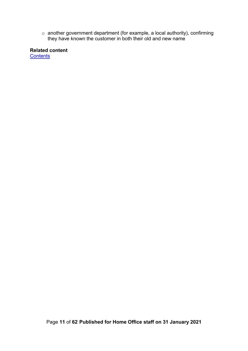$\circ~$  another government department (for example, a local authority), confirming they have known the customer in both their old and new name

<span id="page-10-0"></span>**Related content [Contents](#page-1-0)** 

Page **11** of **62 Published for Home Office staff on 31 January 2021**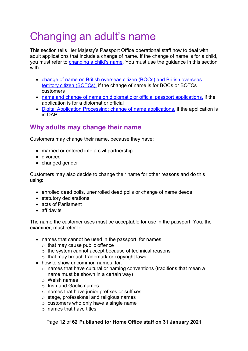# <span id="page-11-0"></span>Changing an adult's name

This section tells Her Majesty's Passport Office operational staff how to deal with adult applications that include a change of name. If the change of name is for a child, you must refer to [changing a child's name.](#page-25-1) You must use the guidance in this section with:

- [change of name on British overseas citizen \(BOCs\) and British overseas](#page-54-1)  [territory citizen \(BOTCs\),](#page-54-1) if the change of name is for BOCs or BOTCs customers
- [name and change of name on diplomatic or official passport applications,](#page-57-0) if the application is for a diplomat or official
- [Digital Application Processing: change of name applications,](#page-44-0) if the application is in DAP

# <span id="page-11-1"></span>**Why adults may change their name**

Customers may change their name, because they have:

- married or entered into a civil partnership
- divorced
- changed gender

Customers may also decide to change their name for other reasons and do this using:

- enrolled deed polls, unenrolled deed polls or change of name deeds
- statutory declarations
- acts of Parliament
- affidavits

The name the customer uses must be acceptable for use in the passport. You, the examiner, must refer to:

- names that cannot be used in the passport, for names:
	- $\circ$  that may cause public offence
	- o the system cannot accept because of technical reasons
	- o that may breach trademark or copyright laws
- how to show uncommon names, for:
	- o names that have cultural or naming conventions (traditions that mean a name must be shown in a certain way)
	- o Welsh names
	- o Irish and Gaelic names
	- $\circ$  names that have junior prefixes or suffixes
	- o stage, professional and religious names
	- $\circ$  customers who only have a single name
	- $\circ$  names that have titles

#### Page **12** of **62 Published for Home Office staff on 31 January 2021**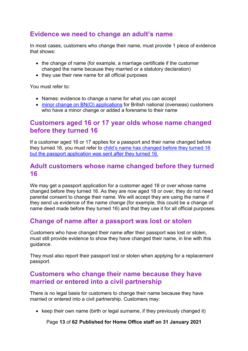# <span id="page-12-0"></span>**Evidence we need to change an adult's name**

In most cases, customers who change their name, must provide 1 piece of evidence that shows:

- the change of name (for example, a marriage certificate if the customer changed the name because they married or a statutory declaration)
- they use their new name for all official purposes

You must refer to:

- Names: evidence to change a name for what you can accept
- [minor change on BN\(O\) applications](#page-56-0) for British national (overseas) customers who have a minor change or added a forename to their name

# <span id="page-12-1"></span>**Customers aged 16 or 17 year olds whose name changed before they turned 16**

If a customer aged 16 or 17 applies for a passport and their name changed before they turned 16, you must refer to [child's name has changed before they turned 16](#page-36-2)  [but the passport application was sent after they turned 16.](#page-36-2)

#### <span id="page-12-2"></span>**Adult customers whose name changed before they turned 16**

We may get a passport application for a customer aged 18 or over whose name changed before they turned 16. As they are now aged 18 or over, they do not need parental consent to change their name. We will accept they are using the name if they send us evidence of the name change (for example, this could be a change of name deed made before they turned 16) and that they use it for all official purposes.

# <span id="page-12-3"></span>**Change of name after a passport was lost or stolen**

Customers who have changed their name after their passport was lost or stolen, must still provide evidence to show they have changed their name, in line with this guidance.

They must also report their passport lost or stolen when applying for a replacement passport.

## <span id="page-12-4"></span>**Customers who change their name because they have married or entered into a civil partnership**

There is no legal basis for customers to change their name because they have married or entered into a civil partnership. Customers may:

• keep their own name (birth or legal surname, if they previously changed it)

Page **13** of **62 Published for Home Office staff on 31 January 2021**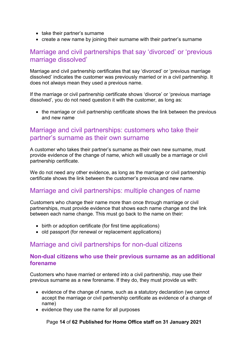- take their partner's surname
- create a new name by joining their surname with their partner's surname

# <span id="page-13-0"></span>Marriage and civil partnerships that say 'divorced' or 'previous marriage dissolved'

Marriage and civil partnership certificates that say 'divorced' or 'previous marriage dissolved' indicates the customer was previously married or in a civil partnership. It does not always mean they used a previous name.

If the marriage or civil partnership certificate shows 'divorce' or 'previous marriage dissolved', you do not need question it with the customer, as long as:

• the marriage or civil partnership certificate shows the link between the previous and new name

#### <span id="page-13-1"></span>Marriage and civil partnerships: customers who take their partner's surname as their own surname

A customer who takes their partner's surname as their own new surname, must provide evidence of the change of name, which will usually be a marriage or civil partnership certificate.

We do not need any other evidence, as long as the marriage or civil partnership certificate shows the link between the customer's previous and new name.

## <span id="page-13-2"></span>Marriage and civil partnerships: multiple changes of name

Customers who change their name more than once through marriage or civil partnerships, must provide evidence that shows each name change and the link between each name change. This must go back to the name on their:

- birth or adoption certificate (for first time applications)
- old passport (for renewal or replacement applications)

#### <span id="page-13-3"></span>Marriage and civil partnerships for non-dual citizens

#### <span id="page-13-4"></span>**Non-dual citizens who use their previous surname as an additional forename**

Customers who have married or entered into a civil partnership, may use their previous surname as a new forename. If they do, they must provide us with:

- evidence of the change of name, such as a statutory declaration (we cannot accept the marriage or civil partnership certificate as evidence of a change of name)
- evidence they use the name for all purposes

Page **14** of **62 Published for Home Office staff on 31 January 2021**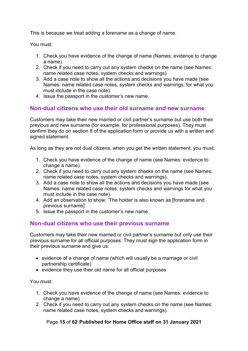This is because we treat adding a forename as a change of name.

You must:

- 1. Check you have evidence of the change of name (Names: evidence to change a name).
- 2. Check if you need to carry out any system checks on the name (see Names: name related case notes, system checks and warnings).
- 3. Add a case note to show all the actions and decisions you have made (see Names: name related case notes, system checks and warnings, for what you must include in the case note).
- 4. Issue the passport in the customer's new name.

#### <span id="page-14-0"></span>**Non-dual citizens who use their old surname and new surname**

Customers may take their new married or civil partner's surname but use both their previous and new surname (for example, for professional purposes). They must confirm they do on section 8 of the application form or provide us with a written and signed statement.

As long as they are not dual citizens, when you get the written statement, you must:

- 1. Check you have evidence of the change of name (see Names: evidence to change a name).
- 2. Check if you need to carry out any system checks on the name (see Names: name related case notes, system checks and warnings).
- 3. Add a case note to show all the actions and decisions you have made (see Names: name related case notes, system checks and warnings for what you must include in the case note).
- 4. Add an observation to show: 'The holder is also known as [forename and previous surname]'.
- 5. Issue the passport in the customer's new name.

#### <span id="page-14-1"></span>**Non-dual citizens who use their previous surname**

Customers may take their new married or civil partner's surname but only use their previous surname for all official purposes. They must sign the application form in their previous surname and give us:

- evidence of a change of name (which will usually be a marriage or civil partnership certificate)
- evidence they use their old name for all official purposes

You must:

- 1. Check you have evidence of the change of name (see Names: evidence to change a name).
- 2. Check if you need to carry out any system checks on the name (see Names: name related case notes, system checks and warnings).

#### Page **15** of **62 Published for Home Office staff on 31 January 2021**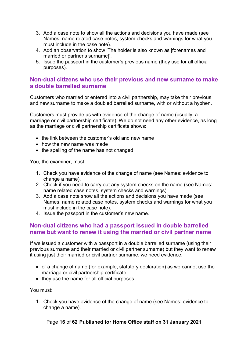- 3. Add a case note to show all the actions and decisions you have made (see Names: name related case notes, system checks and warnings for what you must include in the case note).
- 4. Add an observation to show 'The holder is also known as [forenames and married or partner's surname]'.
- 5. Issue the passport in the customer's previous name (they use for all official purposes).

#### <span id="page-15-0"></span>**Non-dual citizens who use their previous and new surname to make a double barrelled surname**

Customers who married or entered into a civil partnership, may take their previous and new surname to make a doubled barrelled surname, with or without a hyphen.

Customers must provide us with evidence of the change of name (usually, a marriage or civil partnership certificate). We do not need any other evidence, as long as the marriage or civil partnership certificate shows:

- the link between the customer's old and new name
- how the new name was made
- the spelling of the name has not changed

You, the examiner, must:

- 1. Check you have evidence of the change of name (see Names: evidence to change a name).
- 2. Check if you need to carry out any system checks on the name (see Names: name related case notes, system checks and warnings).
- 3. Add a case note show all the actions and decisions you have made (see Names: name related case notes, system checks and warnings for what you must include in the case note).
- 4. Issue the passport in the customer's new name.

#### <span id="page-15-1"></span>**Non-dual citizens who had a passport issued in double barrelled name but want to renew it using the married or civil partner name**

If we issued a customer with a passport in a double barrelled surname (using their previous surname and their married or civil partner surname) but they want to renew it using just their married or civil partner surname, we need evidence:

- of a change of name (for example, statutory declaration) as we cannot use the marriage or civil partnership certificate
- they use the name for all official purposes

You must:

1. Check you have evidence of the change of name (see Names: evidence to change a name).

#### Page **16** of **62 Published for Home Office staff on 31 January 2021**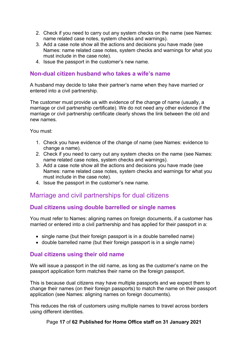- 2. Check if you need to carry out any system checks on the name (see Names: name related case notes, system checks and warnings).
- 3. Add a case note show all the actions and decisions you have made (see Names: name related case notes, system checks and warnings for what you must include in the case note).
- 4. Issue the passport in the customer's new name.

#### <span id="page-16-0"></span>**Non-dual citizen husband who takes a wife's name**

A husband may decide to take their partner's name when they have married or entered into a civil partnership.

The customer must provide us with evidence of the change of name (usually, a marriage or civil partnership certificate). We do not need any other evidence if the marriage or civil partnership certificate clearly shows the link between the old and new names.

You must:

- 1. Check you have evidence of the change of name (see Names: evidence to change a name).
- 2. Check if you need to carry out any system checks on the name (see Names: name related case notes, system checks and warnings).
- 3. Add a case note show all the actions and decisions you have made (see Names: name related case notes, system checks and warnings for what you must include in the case note).
- 4. Issue the passport in the customer's new name.

# <span id="page-16-1"></span>Marriage and civil partnerships for dual citizens

#### <span id="page-16-2"></span>**Dual citizens using double barrelled or single names**

You must refer to Names: aligning names on foreign documents, if a customer has married or entered into a civil partnership and has applied for their passport in a:

- single name (but their foreign passport is in a double barrelled name)
- double barrelled name (but their foreign passport is in a single name)

#### <span id="page-16-3"></span>**Dual citizens using their old name**

We will issue a passport in the old name, as long as the customer's name on the passport application form matches their name on the foreign passport.

This is because dual citizens may have multiple passports and we expect them to change their names (on their foreign passports) to match the name on their passport application (see Names: aligning names on foreign documents).

This reduces the risk of customers using multiple names to travel across borders using different identities.

#### Page **17** of **62 Published for Home Office staff on 31 January 2021**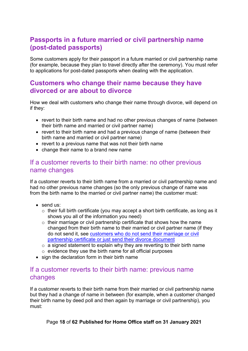# <span id="page-17-0"></span>**Passports in a future married or civil partnership name (post-dated passports)**

Some customers apply for their passport in a future married or civil partnership name (for example, because they plan to travel directly after the ceremony). You must refer to applications for post-dated passports when dealing with the application.

## <span id="page-17-1"></span>**Customers who change their name because they have divorced or are about to divorce**

How we deal with customers who change their name through divorce, will depend on if they:

- revert to their birth name and had no other previous changes of name (between their birth name and married or civil partner name)
- revert to their birth name and had a previous change of name (between their birth name and married or civil partner name)
- revert to a previous name that was not their birth name
- change their name to a brand new name

#### <span id="page-17-2"></span>If a customer reverts to their birth name: no other previous name changes

If a customer reverts to their birth name from a married or civil partnership name and had no other previous name changes (so the only previous change of name was from the birth name to the married or civil partner name) the customer must:

- send us:
	- o their full birth certificate (you may accept a short birth certificate, as long as it shows you all of the information you need)
	- o their marriage or civil partnership certificate that shows how the name changed from their birth name to their married or civil partner name (if they do not send it, see [customers who do not send their marriage or civil](#page-18-0)  [partnership certificate or just send their divorce document](#page-18-0)
	- $\circ$  a signed statement to explain why they are reverting to their birth name  $\circ$  evidence they use the birth name for all official purposes
- sign the declaration form in their birth name

#### <span id="page-17-3"></span>If a customer reverts to their birth name: previous name changes

If a customer reverts to their birth name from their married or civil partnership name but they had a change of name in between (for example, when a customer changed their birth name by deed poll and then again by marriage or civil partnership), you must:

Page **18** of **62 Published for Home Office staff on 31 January 2021**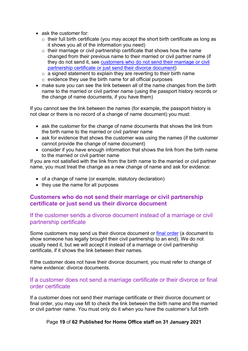- ask the customer for:
	- $\circ$  their full birth certificate (you may accept the short birth certificate as long as it shows you all of the information you need)
	- $\circ$  their marriage or civil partnership certificate that shows how the name changed from their previous name to their married or civil partner name (if they do not send it, see [customers who do not send their marriage or civil](#page-18-0)  [partnership certificate or just send their divorce document\)](#page-18-0)
	- $\circ$  a signed statement to explain they are reverting to their birth name
	- o evidence they use the birth name for all official purposes
- make sure you can see the link between all of the name changes from the birth name to the married or civil partner name (using the passport history records or the change of name documents, if you have them)

If you cannot see the link between the names (for example, the passport history is not clear or there is no record of a change of name document) you must:

- ask the customer for the change of name documents that shows the link from the birth name to the married or civil partner name
- ask for evidence that shows the customer was using the names (if the customer cannot provide the change of name document)
- consider if you have enough information that shows the link from the birth name to the married or civil partner name

If you are not satisfied with the link from the birth name to the married or civil partner name, you must treat the change as a new change of name and ask for evidence:

- of a change of name (or example, statutory declaration)
- they use the name for all purposes

#### <span id="page-18-0"></span>**Customers who do not send their marriage or civil partnership certificate or just send us their divorce document**

#### <span id="page-18-1"></span>If the customer sends a divorce document instead of a marriage or civil partnership certificate

Some customers may send us their divorce document or [final order](https://www.gov.uk/end-civil-partnership/apply-for-a-final-order) (a document to show someone has legally brought their civil partnership to an end). We do not usually need it, but we will accept it instead of a marriage or civil partnership certificate, if it shows the link between their names.

If the customer does not have their divorce document, you must refer to change of name evidence: divorce documents.

#### <span id="page-18-2"></span>If a customer does not send a marriage certificate or their divorce or final order certificate

If a customer does not send their marriage certificate or their divorce document or final order, you may use MI to check the link between the birth name and the married or civil partner name. You must only do it when you have the customer's full birth

Page **19** of **62 Published for Home Office staff on 31 January 2021**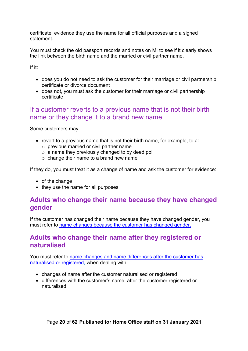certificate, evidence they use the name for all official purposes and a signed statement.

You must check the old passport records and notes on MI to see if it clearly shows the link between the birth name and the married or civil partner name.

If it:

- does you do not need to ask the customer for their marriage or civil partnership certificate or divorce document
- does not, you must ask the customer for their marriage or civil partnership certificate

## <span id="page-19-0"></span>If a customer reverts to a previous name that is not their birth name or they change it to a brand new name

Some customers may:

- revert to a previous name that is not their birth name, for example, to a:
	- o previous married or civil partner name
	- $\circ$  a name they previously changed to by deed poll
	- o change their name to a brand new name

If they do, you must treat it as a change of name and ask the customer for evidence:

- of the change
- they use the name for all purposes

### <span id="page-19-1"></span>**Adults who change their name because they have changed gender**

If the customer has changed their name because they have changed gender, you must refer to [name changes because the customer has changed gender.](#page-51-2)

## <span id="page-19-2"></span>**Adults who change their name after they registered or naturalised**

You must refer to [name changes and name differences after the customer has](#page-47-0)  [naturalised or registered,](#page-47-0) when dealing with:

- changes of name after the customer naturalised or registered
- differences with the customer's name, after the customer registered or naturalised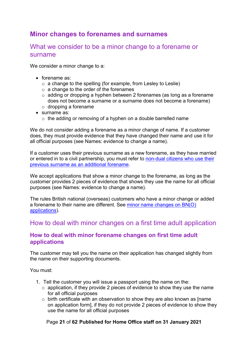# <span id="page-20-0"></span>**Minor changes to forenames and surnames**

#### <span id="page-20-1"></span>What we consider to be a minor change to a forename or surname

We consider a minor change to a:

- forename as:
	- $\circ$  a change to the spelling (for example, from Lesley to Leslie)
	- $\circ$  a change to the order of the forenames
	- o adding or dropping a hyphen between 2 forenames (as long as a forename does not become a surname or a surname does not become a forename)
	- o dropping a forename
- surname as:
	- o the adding or removing of a hyphen on a double barrelled name

We do not consider adding a forename as a minor change of name. If a customer does, they must provide evidence that they have changed their name and use it for all official purposes (see Names: evidence to change a name).

If a customer uses their previous surname as a new forename, as they have married or entered in to a civil partnership, you must refer to [non-dual citizens who use their](#page-13-4)  [previous surname as an additional forename.](#page-13-4)

We accept applications that show a minor change to the forename, as long as the customer provides 2 pieces of evidence that shows they use the name for all official purposes (see Names: evidence to change a name).

The rules British national (overseas) customers who have a minor change or added a forename to their name are different. See [minor name changes on BN\(O\)](#page-56-0)  [applications\)](#page-56-0).

#### <span id="page-20-2"></span>How to deal with minor changes on a first time adult application

#### <span id="page-20-3"></span>**How to deal with minor forename changes on first time adult applications**

The customer may tell you the name on their application has changed slightly from the name on their supporting documents.

You must:

- 1. Tell the customer you will issue a passport using the name on the:
	- $\circ$  application, if they provide 2 pieces of evidence to show they use the name for all official purposes
	- o birth certificate with an observation to show they are also known as [name on application form], if they do not provide 2 pieces of evidence to show they use the name for all official purposes

#### Page **21** of **62 Published for Home Office staff on 31 January 2021**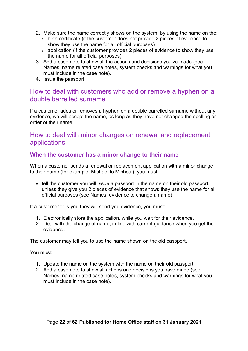- 2. Make sure the name correctly shows on the system, by using the name on the:
	- o birth certificate (if the customer does not provide 2 pieces of evidence to show they use the name for all official purposes)
	- o application (if the customer provides 2 pieces of evidence to show they use the name for all official purposes)
- 3. Add a case note to show all the actions and decisions you've made (see [Names: name related case notes, system checks and warnings](file://poise.homeoffice.local/data/cfp/_WCFP/SB%20Strategy/W%20Work%20Areas/14%20Policy_Procedure%20Resource/01%20Examiner%20Guidance/Names%20-%20name%20related%20case%20notes,%20system%20checks%20and%20warnings.doc) for what you must include in the case note).
- 4. Issue the passport.

## <span id="page-21-0"></span>How to deal with customers who add or remove a hyphen on a double barrelled surname

If a customer adds or removes a hyphen on a double barrelled surname without any evidence, we will accept the name, as long as they have not changed the spelling or order of their name.

### <span id="page-21-1"></span>How to deal with minor changes on renewal and replacement applications

#### <span id="page-21-2"></span>**When the customer has a minor change to their name**

When a customer sends a renewal or replacement application with a minor change to their name (for example, Michael to Micheal), you must:

• tell the customer you will issue a passport in the name on their old passport, unless they give you 2 pieces of evidence that shows they use the name for all official purposes (see Names: evidence to change a name)

If a customer tells you they will send you evidence, you must:

- 1. Electronically store the application, while you wait for their evidence.
- 2. Deal with the change of name, in line with current guidance when you get the evidence.

The customer may tell you to use the name shown on the old passport.

You must:

- 1. Update the name on the system with the name on their old passport.
- 2. Add a case note to show all actions and decisions you have made (see Names: name related case notes, system checks and warnings for what you must include in the case note).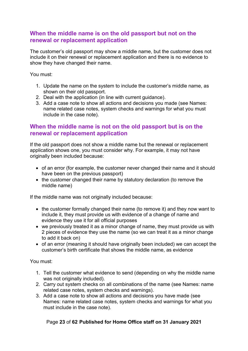#### <span id="page-22-0"></span>**When the middle name is on the old passport but not on the renewal or replacement application**

The customer's old passport may show a middle name, but the customer does not include it on their renewal or replacement application and there is no evidence to show they have changed their name.

You must:

- 1. Update the name on the system to include the customer's middle name, as shown on their old passport.
- 2. Deal with the application (in line with current guidance).
- 3. Add a case note to show all actions and decisions you made (see Names: name related case notes, system checks and warnings for what you must include in the case note).

#### <span id="page-22-1"></span>**When the middle name is not on the old passport but is on the renewal or replacement application**

If the old passport does not show a middle name but the renewal or replacement application shows one, you must consider why. For example, it may not have originally been included because:

- of an error (for example, the customer never changed their name and it should have been on the previous passport)
- the customer changed their name by statutory declaration (to remove the middle name)

If the middle name was not originally included because:

- the customer formally changed their name (to remove it) and they now want to include it, they must provide us with evidence of a change of name and evidence they use it for all official purposes
- we previously treated it as a minor change of name, they must provide us with 2 pieces of evidence they use the name (so we can treat it as a minor change to add it back on)
- of an error (meaning it should have originally been included) we can accept the customer's birth certificate that shows the middle name, as evidence

You must:

- 1. Tell the customer what evidence to send (depending on why the middle name was not originally included).
- 2. Carry out system checks on all combinations of the name (see Names: name related case notes, system checks and warnings).
- 3. Add a case note to show all actions and decisions you have made (see Names: name related case notes, system checks and warnings for what you must include in the case note).

#### Page **23** of **62 Published for Home Office staff on 31 January 2021**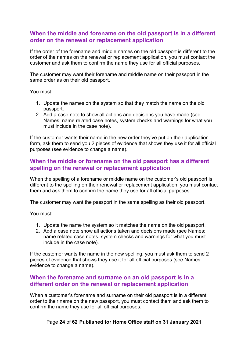#### <span id="page-23-0"></span>**When the middle and forename on the old passport is in a different order on the renewal or replacement application**

If the order of the forename and middle names on the old passport is different to the order of the names on the renewal or replacement application, you must contact the customer and ask them to confirm the name they use for all official purposes.

The customer may want their forename and middle name on their passport in the same order as on their old passport.

You must:

- 1. Update the names on the system so that they match the name on the old passport.
- 2. Add a case note to show all actions and decisions you have made (see Names: name related case notes, system checks and warnings for what you must include in the case note).

If the customer wants their name in the new order they've put on their application form, ask them to send you 2 pieces of evidence that shows they use it for all official purposes (see evidence to change a name).

#### <span id="page-23-1"></span>**When the middle or forename on the old passport has a different spelling on the renewal or replacement application**

When the spelling of a forename or middle name on the customer's old passport is different to the spelling on their renewal or replacement application, you must contact them and ask them to confirm the name they use for all official purposes.

The customer may want the passport in the same spelling as their old passport.

You must:

- 1. Update the name the system so it matches the name on the old passport.
- 2. Add a case note show all actions taken and decisions made (see Names: name related case notes, system checks and warnings for what you must include in the case note).

If the customer wants the name in the new spelling, you must ask them to send 2 pieces of evidence that shows they use it for all official purposes (see Names: evidence to change a name).

#### <span id="page-23-2"></span>**When the forename and surname on an old passport is in a different order on the renewal or replacement application**

When a customer's forename and surname on their old passport is in a different order to their name on the new passport, you must contact them and ask them to confirm the name they use for all official purposes.

Page **24** of **62 Published for Home Office staff on 31 January 2021**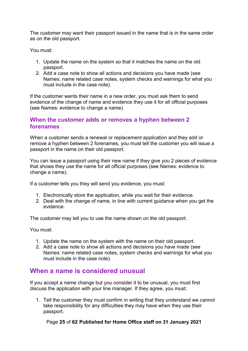The customer may want their passport issued in the name that is in the same order as on the old passport.

You must:

- 1. Update the name on the system so that it matches the name on the old passport.
- 2. Add a case note to show all actions and decisions you have made (see Names: name related case notes, system checks and warnings for what you must include in the case note).

If the customer wants their name in a new order, you must ask them to send evidence of the change of name and evidence they use it for all official purposes (see Names: evidence to change a name).

#### <span id="page-24-0"></span>**When the customer adds or removes a hyphen between 2 forenames**

When a customer sends a renewal or replacement application and they add or remove a hyphen between 2 forenames, you must tell the customer you will issue a passport in the name on their old passport.

You can issue a passport using their new name if they give you 2 pieces of evidence that shows they use the name for all official purposes (see Names: evidence to change a name).

If a customer tells you they will send you evidence, you must:

- 1. Electronically store the application, while you wait for their evidence.
- 2. Deal with the change of name, in line with current guidance when you get the evidence.

The customer may tell you to use the name shown on the old passport.

You must:

- 1. Update the name on the system with the name on their old passport.
- 2. Add a case note to show all actions and decisions you have made (see Names: name related case notes, system checks and warnings for what you must include in the case note).

#### <span id="page-24-1"></span>**When a name is considered unusual**

If you accept a name change but you consider it to be unusual, you must first discuss the application with your line manager. If they agree, you must:

1. Tell the customer they must confirm in writing that they understand we cannot take responsibility for any difficulties they may have when they use their passport.

Page **25** of **62 Published for Home Office staff on 31 January 2021**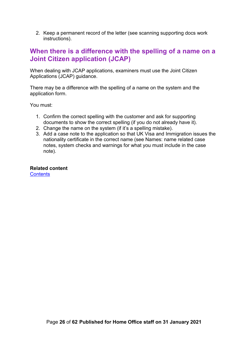2. Keep a permanent record of the letter (see scanning supporting docs work instructions).

# <span id="page-25-0"></span>**When there is a difference with the spelling of a name on a Joint Citizen application (JCAP)**

When dealing with JCAP applications, examiners must use the Joint Citizen Applications (JCAP) guidance.

There may be a difference with the spelling of a name on the system and the application form.

You must:

- 1. Confirm the correct spelling with the customer and ask for supporting documents to show the correct spelling (if you do not already have it).
- 2. Change the name on the system (if it's a spelling mistake).
- 3. Add a case note to the application so that UK Visa and Immigration issues the nationality certificate in the correct name (see Names: name related case notes, system checks and warnings for what you must include in the case note).

<span id="page-25-1"></span>**Related content [Contents](#page-1-0)**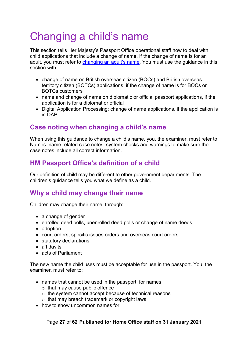# <span id="page-26-0"></span>Changing a child's name

This section tells Her Majesty's Passport Office operational staff how to deal with child applications that include a change of name. If the change of name is for an adult, you must refer to [changing an adult's name.](#page-10-0) You must use the guidance in this section with:

- change of name on British overseas citizen (BOCs) and British overseas territory citizen (BOTCs) applications, if the change of name is for BOCs or BOTCs customers
- [name and change of name on diplomatic or official passport applications,](#page-57-1) if the application is for a diplomat or official
- [Digital Application Processing: change of name applications,](#page-44-0) if the application is in DAP

# <span id="page-26-1"></span>**Case noting when changing a child's name**

When using this guidance to change a child's name, you, the examiner, must refer to Names: name related case notes, system checks and warnings to make sure the case notes include all correct information.

# <span id="page-26-2"></span>**HM Passport Office's definition of a child**

Our definition of child may be different to other government departments. The children's guidance tells you what we define as a child.

# <span id="page-26-3"></span>**Why a child may change their name**

Children may change their name, through:

- a change of gender
- enrolled deed polls, unenrolled deed polls or change of name deeds
- adoption
- court orders, specific issues orders and overseas court orders
- statutory declarations
- affidavits
- acts of Parliament

The new name the child uses must be acceptable for use in the passport. You, the examiner, must refer to:

- names that cannot be used in the passport, for names:
	- $\circ$  that may cause public offence
	- o the system cannot accept because of technical reasons
	- o that may breach trademark or copyright laws
- how to show uncommon names for: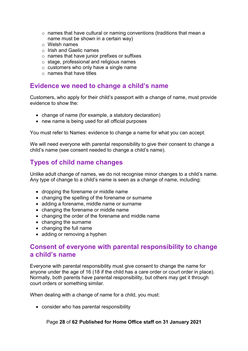- o names that have cultural or naming conventions (traditions that mean a name must be shown in a certain way)
- o Welsh names
- o Irish and Gaelic names
- o names that have junior prefixes or suffixes
- o stage, professional and religious names
- o customers who only have a single name
- o names that have titles

#### <span id="page-27-0"></span>**Evidence we need to change a child's name**

Customers, who apply for their child's passport with a change of name, must provide evidence to show the:

- change of name (for example, a statutory declaration)
- new name is being used for all official purposes

You must refer to Names: evidence to change a name for what you can accept.

We will need everyone with parental responsibility to give their consent to change a child's name (see [consent needed to change a child's name\)](#page-27-2).

# <span id="page-27-1"></span>**Types of child name changes**

Unlike adult change of names, we do not recognise minor changes to a child's name. Any type of change to a child's name is seen as a change of name, including:

- dropping the forename or middle name
- changing the spelling of the forename or surname
- adding a forename, middle name or surname
- changing the forename or middle name
- changing the order of the forename and middle name
- changing the surname
- changing the full name
- adding or removing a hyphen

#### <span id="page-27-2"></span>**Consent of everyone with parental responsibility to change a child's name**

Everyone with parental responsibility must give consent to change the name for anyone under the age of 16 (18 if the child has a care order or court order in place). Normally, both parents have parental responsibility, but others may get it through court orders or something similar.

When dealing with a change of name for a child, you must:

• consider who has parental responsibility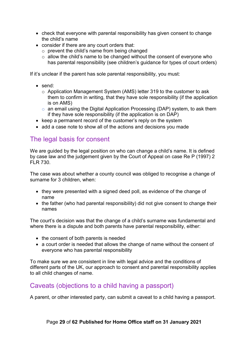- check that everyone with parental responsibility has given consent to change the child's name
- consider if there are any court orders that:
	- $\circ$  prevent the child's name from being changed
	- o allow the child's name to be changed without the consent of everyone who has parental responsibility (see children's guidance for types of court orders)

If it's unclear if the parent has sole parental responsibility, you must:

- send:
	- o Application Management System (AMS) letter 319 to the customer to ask them to confirm in writing, that they have sole responsibility (if the application is on AMS)
	- $\circ$  an email using the Digital Application Processing (DAP) system, to ask them if they have sole responsibility (if the application is on DAP)
- keep a permanent record of the customer's reply on the system
- add a case note to show all of the actions and decisions you made

## <span id="page-28-0"></span>The legal basis for consent

We are guided by the legal position on who can change a child's name. It is defined by case law and the judgement given by the Court of Appeal on case Re P (1997) 2 FLR 730.

The case was about whether a county council was obliged to recognise a change of surname for 3 children, when:

- they were presented with a signed deed poll, as evidence of the change of name
- the father (who had parental responsibility) did not give consent to change their names

The court's decision was that the change of a child's surname was fundamental and where there is a dispute and both parents have parental responsibility, either:

- the consent of both parents is needed
- a court order is needed that allows the change of name without the consent of everyone who has parental responsibility

To make sure we are consistent in line with legal advice and the conditions of different parts of the UK, our approach to consent and parental responsibility applies to all child changes of name.

# <span id="page-28-1"></span>Caveats (objections to a child having a passport)

A parent, or other interested party, can submit a caveat to a child having a passport.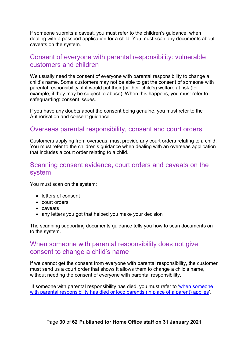If someone submits a caveat, you must refer to the children's guidance, when dealing with a passport application for a child. You must scan any documents about caveats on the system.

#### <span id="page-29-0"></span>Consent of everyone with parental responsibility: vulnerable customers and children

We usually need the consent of everyone with parental responsibility to change a child's name. Some customers may not be able to get the consent of someone with parental responsibility, if it would put their (or their child's) welfare at risk (for example, if they may be subject to abuse). When this happens, you must refer to safeguarding: consent issues.

If you have any doubts about the consent being genuine, you must refer to the Authorisation and consent guidance.

#### <span id="page-29-1"></span>Overseas parental responsibility, consent and court orders

Customers applying from overseas, must provide any court orders relating to a child. You must refer to the children's guidance when dealing with an overseas application that includes a court order relating to a child.

#### <span id="page-29-2"></span>Scanning consent evidence, court orders and caveats on the system

You must scan on the system:

- letters of consent
- court orders
- caveats
- any letters you got that helped you make your decision

The scanning supporting documents guidance tells you how to scan documents on to the system.

#### <span id="page-29-3"></span>When someone with parental responsibility does not give consent to change a child's name

If we cannot get the consent from everyone with parental responsibility, the customer must send us a court order that shows it allows them to change a child's name, without needing the consent of everyone with parental responsibility.

If someone with parental responsibility has died, you must refer to ['when someone](#page-31-3)  [with parental responsibility has died or loco parentis \(in place of a parent\) applies'](#page-31-3)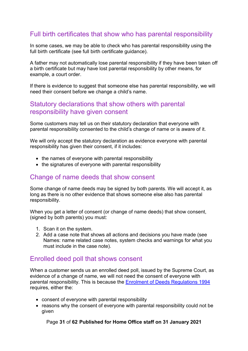# <span id="page-30-0"></span>Full birth certificates that show who has parental responsibility

In some cases, we may be able to check who has parental responsibility using the full birth certificate (see full birth certificate guidance).

A father may not automatically lose parental responsibility if they have been taken off a birth certificate but may have lost parental responsibility by other means, for example, a court order.

If there is evidence to suggest that someone else has parental responsibility, we will need their consent before we change a child's name.

#### <span id="page-30-1"></span>Statutory declarations that show others with parental responsibility have given consent

Some customers may tell us on their statutory declaration that everyone with parental responsibility consented to the child's change of name or is aware of it.

We will only accept the statutory declaration as evidence everyone with parental responsibility has given their consent, if it includes:

- the names of everyone with parental responsibility
- the signatures of everyone with parental responsibility

#### <span id="page-30-2"></span>Change of name deeds that show consent

Some change of name deeds may be signed by both parents. We will accept it, as long as there is no other evidence that shows someone else also has parental responsibility.

When you get a letter of consent (or change of name deeds) that show consent, (signed by both parents) you must:

- 1. Scan it on the system.
- 2. Add a case note that shows all actions and decisions you have made (see Names: name related case notes, system checks and warnings for what you must include in the case note).

#### <span id="page-30-3"></span>Enrolled deed poll that shows consent

When a customer sends us an enrolled deed poll, issued by the Supreme Court, as evidence of a change of name, we will not need the consent of everyone with parental responsibility. This is because the [Enrolment of Deeds Regulations 1994](http://www.legislation.gov.uk/uksi/1994/601/made) requires, either the:

- consent of everyone with parental responsibility
- reasons why the consent of everyone with parental responsibility could not be given

Page **31** of **62 Published for Home Office staff on 31 January 2021**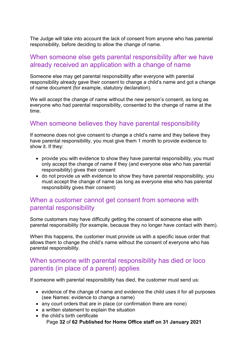The Judge will take into account the lack of consent from anyone who has parental responsibility, before deciding to allow the change of name.

#### <span id="page-31-0"></span>When someone else gets parental responsibility after we have already received an application with a change of name

Someone else may get parental responsibility after everyone with parental responsibility already gave their consent to change a child's name and got a change of name document (for example, statutory declaration).

We will accept the change of name without the new person's consent, as long as everyone who had parental responsibility, consented to the change of name at the time.

#### <span id="page-31-1"></span>When someone believes they have parental responsibility

If someone does not give consent to change a child's name and they believe they have parental responsibility, you must give them 1 month to provide evidence to show it. If they:

- provide you with evidence to show they have parental responsibility, you must only accept the change of name if they (and everyone else who has parental responsibility) gives their consent
- do not provide us with evidence to show they have parental responsibility, you must accept the change of name (as long as everyone else who has parental responsibility gives their consent)

### <span id="page-31-2"></span>When a customer cannot get consent from someone with parental responsibility

Some customers may have difficulty getting the consent of someone else with parental responsibility (for example, because they no longer have contact with them).

When this happens, the customer must provide us with a specific issue order that allows them to change the child's name without the consent of everyone who has parental responsibility.

### <span id="page-31-3"></span>When someone with parental responsibility has died or loco parentis (in place of a parent) applies

If someone with parental responsibility has died, the customer must send us:

- evidence of the change of name and evidence the child uses it for all purposes (see Names: evidence to change a name)
- any court orders that are in place (or confirmation there are none)
- a written statement to explain the situation
- Page **32** of **62 Published for Home Office staff on 31 January 2021** • the child's birth certificate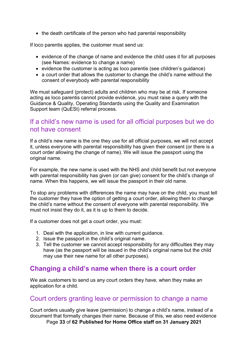• the death certificate of the person who had parental responsibility

If loco parentis applies, the customer must send us:

- evidence of the change of name and evidence the child uses it for all purposes (see Names: evidence to change a name)
- evidence the customer is acting as loco parentis (see children's guidance)
- a court order that allows the customer to change the child's name without the consent of everybody with parental responsibility

We must safeguard (protect) adults and children who may be at risk. If someone acting as loco parentis cannot provide evidence, you must raise a query with the Guidance & Quality, Operating Standards using the Quality and Examination Support team (QuESt) referral process.

### <span id="page-32-0"></span>If a child's new name is used for all official purposes but we do not have consent

If a child's new name is the one they use for all official purposes, we will not accept it, unless everyone with parental responsibility has given their consent (or there is a court order allowing the change of name). We will issue the passport using the original name.

For example, the new name is used with the NHS and child benefit but not everyone with parental responsibility has given (or can give) consent for the child's change of name. When this happens, we will issue the passport in their old name.

To stop any problems with differences the name may have on the child, you must tell the customer they have the option of getting a court order, allowing them to change the child's name without the consent of everyone with parental responsibility. We must not insist they do it, as it is up to them to decide.

If a customer does not get a court order, you must:

- 1. Deal with the application, in line with current guidance.
- 2. Issue the passport in the child's original name.
- 3. Tell the customer we cannot accept responsibility for any difficulties they may have (as the passport will be issued in the child's original name but the child may use their new name for all other purposes).

#### <span id="page-32-1"></span>**Changing a child's name when there is a court order**

We ask customers to send us any court orders they have, when they make an application for a child.

#### <span id="page-32-2"></span>Court orders granting leave or permission to change a name

Page **33** of **62 Published for Home Office staff on 31 January 2021** Court orders usually give leave (permission) to change a child's name, instead of a document that formally changes their name. Because of this, we also need evidence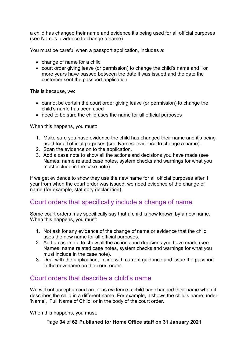a child has changed their name and evidence it's being used for all official purposes (see Names: evidence to change a name).

You must be careful when a passport application, includes a:

- change of name for a child
- court order giving leave (or permission) to change the child's name and 1or more years have passed between the date it was issued and the date the customer sent the passport application

This is because, we:

- cannot be certain the court order giving leave (or permission) to change the child's name has been used
- need to be sure the child uses the name for all official purposes

When this happens, you must:

- 1. Make sure you have evidence the child has changed their name and it's being used for all official purposes (see Names: evidence to change a name).
- 2. Scan the evidence on to the application.
- 3. Add a case note to show all the actions and decisions you have made (see Names: name related case notes, system checks and warnings for what you must include in the case note).

If we get evidence to show they use the new name for all official purposes after 1 year from when the court order was issued, we need evidence of the change of name (for example, statutory declaration).

## <span id="page-33-0"></span>Court orders that specifically include a change of name

Some court orders may specifically say that a child is now known by a new name. When this happens, you must:

- 1. Not ask for any evidence of the change of name or evidence that the child uses the new name for all official purposes.
- 2. Add a case note to show all the actions and decisions you have made (see Names: name related case notes, system checks and warnings for what you must include in the case note).
- 3. Deal with the application, in line with current guidance and issue the passport in the new name on the court order.

## <span id="page-33-1"></span>Court orders that describe a child's name

We will not accept a court order as evidence a child has changed their name when it describes the child in a different name. For example, it shows the child's name under 'Name', 'Full Name of Child' or in the body of the court order.

When this happens, you must:

Page **34** of **62 Published for Home Office staff on 31 January 2021**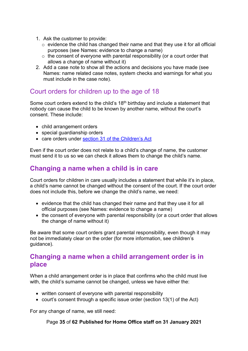- 1. Ask the customer to provide:
	- $\circ$  evidence the child has changed their name and that they use it for all official purposes (see Names: evidence to change a name)
	- $\circ$  the consent of everyone with parental responsibility (or a court order that allows a change of name without it)
- 2. Add a case note to show all the actions and decisions you have made (see Names: name related case notes, system checks and warnings for what you must include in the case note).

# <span id="page-34-0"></span>Court orders for children up to the age of 18

Some court orders extend to the child's 18<sup>th</sup> birthday and include a statement that nobody can cause the child to be known by another name, without the court's consent. These include:

- child arrangement orders
- special guardianship orders
- care orders under [section 31 of the Children's Act](https://www.legislation.gov.uk/ukpga/1989/41/contents)

Even if the court order does not relate to a child's change of name, the customer must send it to us so we can check it allows them to change the child's name.

## <span id="page-34-1"></span>**Changing a name when a child is in care**

Court orders for children in care usually includes a statement that while it's in place, a child's name cannot be changed without the consent of the court. If the court order does not include this, before we change the child's name, we need:

- evidence that the child has changed their name and that they use it for all official purposes (see Names: evidence to change a name)
- the consent of everyone with parental responsibility (or a court order that allows the change of name without it)

Be aware that some court orders grant parental responsibility, even though it may not be immediately clear on the order (for more information, see children's guidance).

## <span id="page-34-2"></span>**Changing a name when a child arrangement order is in place**

When a child arrangement order is in place that confirms who the child must live with, the child's surname cannot be changed, unless we have either the:

- written consent of everyone with parental responsibility
- court's consent through a specific issue order (section 13(1) of the Act)

For any change of name, we still need:

Page **35** of **62 Published for Home Office staff on 31 January 2021**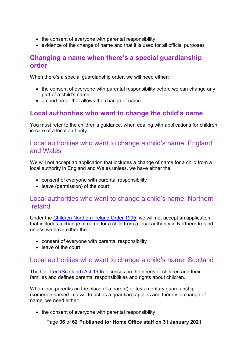- the consent of everyone with parental responsibility
- evidence of the change of name and that it is used for all official purposes

#### <span id="page-35-0"></span>**Changing a name when there's a special guardianship order**

When there's a special guardianship order, we will need either:

- the consent of everyone with parental responsibility before we can change any part of a child's name
- a court order that allows the change of name

# <span id="page-35-1"></span>**Local authorities who want to change the child's name**

You must refer to the children's guidance, when dealing with applications for children in care of a local authority.

### <span id="page-35-2"></span>Local authorities who want to change a child's name: England and Wales

We will not accept an application that includes a change of name for a child from a local authority in England and Wales unless, we have either the:

- consent of everyone with parental responsibility
- leave (permission) of the court

#### <span id="page-35-3"></span>Local authorities who want to change a child's name: Northern Ireland

Under the [Children Northern Ireland Order 1995,](http://www.legislation.gov.uk/nisi/1995/755/contents/made) we will not accept an application that includes a change of name for a child from a local authority in Northern Ireland, unless we have either the:

- consent of everyone with parental responsibility
- leave of the court

## <span id="page-35-4"></span>Local authorities who want to change a child's name: Scotland

The [Children \(Scotland\) Act 1995](http://www.legislation.gov.uk/ukpga/1995/36/contents) focusses on the needs of children and their families and defines parental responsibilities and rights about children.

When loco parentis (in the place of a parent) or testamentary guardianship (someone named in a will to act as a guardian) applies and there is a change of name, we need either:

• the consent of everyone with parental responsibility

Page **36** of **62 Published for Home Office staff on 31 January 2021**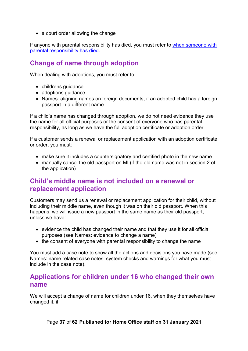• a court order allowing the change

If anyone with parental responsibility has died, you must refer to [when someone with](#page-31-3)  [parental responsibility has died.](#page-31-3) 

# <span id="page-36-0"></span>**Change of name through adoption**

When dealing with adoptions, you must refer to:

- childrens guidance
- adoptions guidance
- Names: aligning names on foreign documents, if an adopted child has a foreign passport in a different name

If a child's name has changed through adoption, we do not need evidence they use the name for all official purposes or the consent of everyone who has parental responsibility, as long as we have the full adoption certificate or adoption order.

If a customer sends a renewal or replacement application with an adoption certificate or order, you must:

- make sure it includes a countersignatory and certified photo in the new name
- manually cancel the old passport on MI (if the old name was not in section 2 of the application)

## <span id="page-36-1"></span>**Child's middle name is not included on a renewal or replacement application**

Customers may send us a renewal or replacement application for their child, without including their middle name, even though it was on their old passport. When this happens, we will issue a new passport in the same name as their old passport, unless we have:

- evidence the child has changed their name and that they use it for all official purposes (see Names: evidence to change a name)
- the consent of everyone with parental responsibility to change the name

You must add a case note to show all the actions and decisions you have made (see Names: name related case notes, system checks and warnings for what you must include in the case note).

### <span id="page-36-2"></span>**Applications for children under 16 who changed their own name**

We will accept a change of name for children under 16, when they themselves have changed it, if:

Page **37** of **62 Published for Home Office staff on 31 January 2021**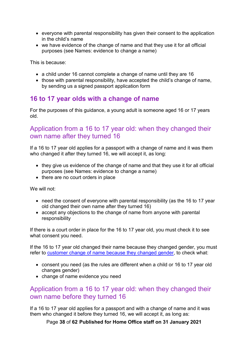- everyone with parental responsibility has given their consent to the application in the child's name
- we have evidence of the change of name and that they use it for all official purposes (see Names: evidence to change a name)

This is because:

- a child under 16 cannot complete a change of name until they are 16
- those with parental responsibility, have accepted the child's change of name, by sending us a signed passport application form

### <span id="page-37-0"></span>**16 to 17 year olds with a change of name**

For the purposes of this guidance, a young adult is someone aged 16 or 17 years old.

### <span id="page-37-1"></span>Application from a 16 to 17 year old: when they changed their own name after they turned 16

If a 16 to 17 year old applies for a passport with a change of name and it was them who changed it after they turned 16, we will accept it, as long:

- they give us evidence of the change of name and that they use it for all official purposes (see Names: evidence to change a name)
- there are no court orders in place

We will not:

- need the consent of everyone with parental responsibility (as the 16 to 17 year old changed their own name after they turned 16)
- accept any objections to the change of name from anyone with parental responsibility

If there is a court order in place for the 16 to 17 year old, you must check it to see what consent you need.

If the 16 to 17 year old changed their name because they changed gender, you must refer to [customer change of name because they changed gender,](#page-51-2) to check what:

- consent you need (as the rules are different when a child or 16 to 17 year old changes gender)
- change of name evidence you need

## <span id="page-37-2"></span>Application from a 16 to 17 year old: when they changed their own name before they turned 16

If a 16 to 17 year old applies for a passport and with a change of name and it was them who changed it before they turned 16, we will accept it, as long as:

Page **38** of **62 Published for Home Office staff on 31 January 2021**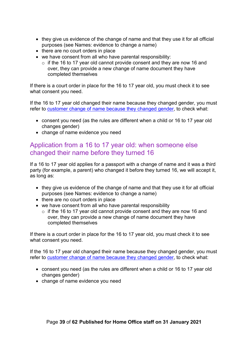- they give us evidence of the change of name and that they use it for all official purposes (see Names: evidence to change a name)
- there are no court orders in place
- we have consent from all who have parental responsibility:
	- $\circ$  if the 16 to 17 year old cannot provide consent and they are now 16 and over, they can provide a new change of name document they have completed themselves

If there is a court order in place for the 16 to 17 year old, you must check it to see what consent you need.

If the 16 to 17 year old changed their name because they changed gender, you must refer to customer change [of name because they changed gender,](#page-51-2) to check what:

- consent you need (as the rules are different when a child or 16 to 17 year old changes gender)
- change of name evidence you need

## <span id="page-38-0"></span>Application from a 16 to 17 year old: when someone else changed their name before they turned 16

If a 16 to 17 year old applies for a passport with a change of name and it was a third party (for example, a parent) who changed it before they turned 16, we will accept it, as long as:

- they give us evidence of the change of name and that they use it for all official purposes (see Names: evidence to change a name)
- there are no court orders in place
- we have consent from all who have parental responsibility
	- $\circ$  if the 16 to 17 year old cannot provide consent and they are now 16 and over, they can provide a new change of name document they have completed themselves

If there is a court order in place for the 16 to 17 year old, you must check it to see what consent you need.

If the 16 to 17 year old changed their name because they changed gender, you must refer to [customer change of name because they changed gender,](#page-51-2) to check what:

- consent you need (as the rules are different when a child or 16 to 17 year old changes gender)
- change of name evidence you need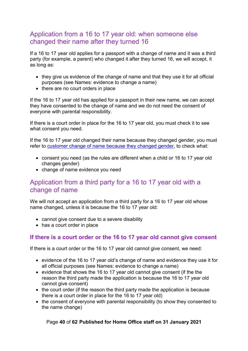# <span id="page-39-0"></span>Application from a 16 to 17 year old: when someone else changed their name after they turned 16

If a 16 to 17 year old applies for a passport with a change of name and it was a third party (for example, a parent) who changed it after they turned 16, we will accept, it as long as:

- they give us evidence of the change of name and that they use it for all official purposes (see Names: evidence to change a name)
- there are no court orders in place

If the 16 to 17 year old has applied for a passport in their new name, we can accept they have consented to the change of name and we do not need the consent of everyone with parental responsibility.

If there is a court order in place for the 16 to 17 year old, you must check it to see what consent you need.

If the 16 to 17 year old changed their name because they changed gender, you must refer to [customer change of name because they changed gender,](#page-51-2) to check what:

- consent you need (as the rules are different when a child or 16 to 17 year old changes gender)
- change of name evidence you need

## <span id="page-39-1"></span>Application from a third party for a 16 to 17 year old with a change of name

We will not accept an application from a third party for a 16 to 17 year old whose name changed, unless it is because the 16 to 17 year old:

- cannot give consent due to a severe disability
- has a court order in place

#### <span id="page-39-2"></span>**If there is a court order or the 16 to 17 year old cannot give consent**

If there is a court order or the 16 to 17 year old cannot give consent, we need:

- evidence of the 16 to 17 year old's change of name and evidence they use it for all official purposes (see Names: evidence to change a name)
- evidence that shows the 16 to 17 year old cannot give consent (if the the reason the third party made the application is because the 16 to 17 year old cannot give consent)
- the court order (if the reason the third party made the application is because there is a court order in place for the 16 to 17 year old)
- the consent of everyone with parental responsibility (to show they consented to the name change)

#### Page **40** of **62 Published for Home Office staff on 31 January 2021**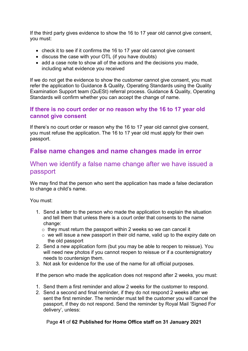If the third party gives evidence to show the 16 to 17 year old cannot give consent, you must:

- check it to see if it confirms the 16 to 17 year old cannot give consent
- discuss the case with your OTL (if you have doubts)
- add a case note to show all of the actions and the decisions you made, including what evidence you received

If we do not get the evidence to show the customer cannot give consent, you must refer the application to Guidance & Quality, Operating Standards using the Quality Examination Support team (QuESt) referral process. Guidance & Quality, Operating Standards will confirm whether you can accept the change of name.

#### <span id="page-40-0"></span>**If there is no court order or no reason why the 16 to 17 year old cannot give consent**

If there's no court order or reason why the 16 to 17 year old cannot give consent, you must refuse the application. The 16 to 17 year old must apply for their own passport.

# <span id="page-40-1"></span>**False name changes and name changes made in error**

### <span id="page-40-2"></span>When we identify a false name change after we have issued a passport

We may find that the person who sent the application has made a false declaration to change a child's name.

You must:

- 1. Send a letter to the person who made the application to explain the situation and tell them that unless there is a court order that consents to the name change:
	- $\circ$  they must return the passport within 2 weeks so we can cancel it
	- $\circ$  we will issue a new passport in their old name, valid up to the expiry date on the old passport
- 2. Send a new application form (but you may be able to reopen to reissue). You will need new photos if you cannot reopen to reissue or if a countersignatory needs to countersign them.
- 3. Not ask for evidence for the use of the name for all official purposes.

If the person who made the application does not respond after 2 weeks, you must:

- 1. Send them a first reminder and allow 2 weeks for the customer to respond.
- 2. Send a second and final reminder, if they do not respond 2 weeks after we sent the first reminder. The reminder must tell the customer you will cancel the passport, if they do not respond. Send the reminder by Royal Mail 'Signed For delivery', unless:

#### Page **41** of **62 Published for Home Office staff on 31 January 2021**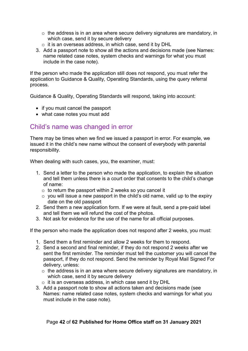- o the address is in an area where secure delivery signatures are mandatory, in which case, send it by secure delivery
- o it is an overseas address, in which case, send it by DHL
- 3. Add a passport note to show all the actions and decisions made (see Names: name related case notes, system checks and warnings for what you must include in the case note).

If the person who made the application still does not respond, you must refer the application to Guidance & Quality, Operating Standards, using the query referral process.

Guidance & Quality, Operating Standards will respond, taking into account:

- if you must cancel the passport
- what case notes you must add

### <span id="page-41-0"></span>Child's name was changed in error

There may be times when we find we issued a passport in error. For example, we issued it in the child's new name without the consent of everybody with parental responsibility.

When dealing with such cases, you, the examiner, must:

- 1. Send a letter to the person who made the application, to explain the situation and tell them unless there is a court order that consents to the child's change of name:
	- $\circ$  to return the passport within 2 weeks so you cancel it
	- $\circ$  you will issue a new passport in the child's old name, valid up to the expiry date on the old passport
- 2. Send them a new application form. If we were at fault, send a pre-paid label and tell them we will refund the cost of the photos.
- 3. Not ask for evidence for the use of the name for all official purposes.

If the person who made the application does not respond after 2 weeks, you must:

- 1. Send them a first reminder and allow 2 weeks for them to respond.
- 2. Send a second and final reminder, if they do not respond 2 weeks after we sent the first reminder. The reminder must tell the customer you will cancel the passport, if they do not respond. Send the reminder by Royal Mail Signed For delivery, unless:
	- $\circ$  the address is in an area where secure delivery signatures are mandatory, in which case, send it by secure delivery
	- $\circ$  it is an overseas address, in which case send it by DHL
- 3. Add a passport note to show all actions taken and decisions made (see Names: name related case notes, system checks and warnings for what you must include in the case note).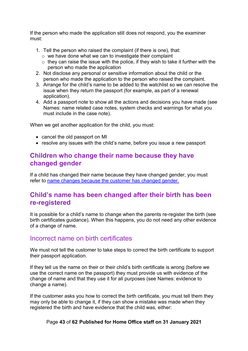If the person who made the application still does not respond, you the examiner must:

- 1. Tell the person who raised the complaint (if there is one), that:
	- o we have done what we can to investigate their complaint
	- $\circ$  they can raise the issue with the police, if they wish to take it further with the person who made the application
- 2. Not disclose any personal or sensitive information about the child or the person who made the application to the person who raised the complaint.
- 3. Arrange for the child's name to be added to the watchlist so we can resolve the issue when they return the passport (for example, as part of a renewal application).
- 4. Add a passport note to show all the actions and decisions you have made (see Names: name related case notes, system checks and warnings for what you must include in the case note).

When we get another application for the child, you must:

- cancel the old passport on MI
- resolve any issues with the child's name, before you issue a new passport

### <span id="page-42-0"></span>**Children who change their name because they have changed gender**

If a child has changed their name because they have changed gender, you must refer to [name changes because the customer has changed gender.](#page-51-2)

## <span id="page-42-1"></span>**Child's name has been changed after their birth has been re-registered**

It is possible for a child's name to change when the parents re-register the birth (see birth certificates guidance). When this happens, you do not need any other evidence of a change of name.

#### <span id="page-42-2"></span>Incorrect name on birth certificates

We must not tell the customer to take steps to correct the birth certificate to support their passport application.

If they tell us the name on their or their child's birth certificate is wrong (before we use the correct name on the passport) they must provide us with evidence of the change of name and that they use it for all purposes (see Names: evidence to change a name).

If the customer asks you how to correct the birth certificate, you must tell them they may only be able to change it, if they can show a mistake was made when they registered the birth and have evidence that the child was, either:

#### Page **43** of **62 Published for Home Office staff on 31 January 2021**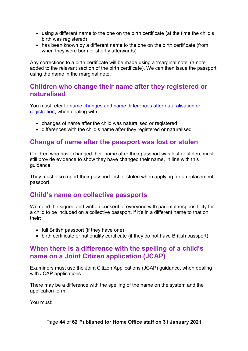- using a different name to the one on the birth certificate (at the time the child's birth was registered)
- has been known by a different name to the one on the birth certificate (from when they were born or shortly afterwards)

Any corrections to a birth certificate will be made using a 'marginal note' (a note added to the relevant section of the birth certificate). We can then issue the passport using the name in the marginal note.

#### <span id="page-43-0"></span>**Children who change their name after they registered or naturalised**

You must refer to [name changes and name differences after naturalisation or](#page-47-0)  [registration,](#page-47-0) when dealing with:

- changes of name after the child was naturalised or registered
- differences with the child's name after they registered or naturalised

## <span id="page-43-1"></span>**Change of name after the passport was lost or stolen**

Children who have changed their name after their passport was lost or stolen, must still provide evidence to show they have changed their name, in line with this guidance.

They must also report their passport lost or stolen when applying for a replacement passport.

## <span id="page-43-2"></span>**Child's name on collective passports**

We need the signed and written consent of everyone with parental responsibility for a child to be included on a collective passport, if it's in a different name to that on their:

- full British passport (if they have one)
- birth certificate or nationality certificate (if they do not have British passport)

### <span id="page-43-3"></span>**When there is a difference with the spelling of a child's name on a Joint Citizen application (JCAP)**

Examiners must use the Joint Citizen Applications (JCAP) guidance, when dealing with JCAP applications.

There may be a difference with the spelling of the name on the system and the application form.

You must: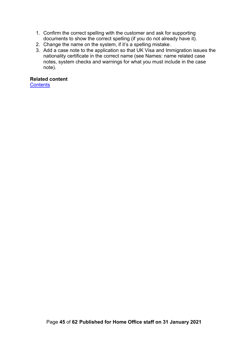- 1. Confirm the correct spelling with the customer and ask for supporting documents to show the correct spelling (if you do not already have it).
- 2. Change the name on the system, if it's a spelling mistake.
- 3. Add a case note to the application so that UK Visa and Immigration issues the nationality certificate in the correct name (see Names: name related case notes, system checks and warnings for what you must include in the case note).

#### **Related content**

<span id="page-44-0"></span>**[Contents](#page-1-0)**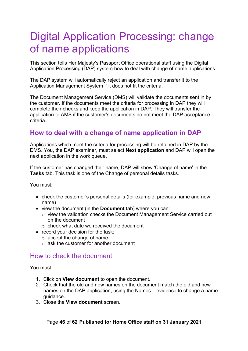# <span id="page-45-0"></span>Digital Application Processing: change of name applications

This section tells Her Majesty's Passport Office operational staff using the Digital Application Processing (DAP) system how to deal with change of name applications.

The DAP system will automatically reject an application and transfer it to the Application Management System if it does not fit the criteria.

The Document Management Service (DMS) will validate the documents sent in by the customer. If the documents meet the criteria for processing in DAP they will complete their checks and keep the application in DAP. They will transfer the application to AMS if the customer's documents do not meet the DAP acceptance criteria.

# <span id="page-45-1"></span>**How to deal with a change of name application in DAP**

Applications which meet the criteria for processing will be retained in DAP by the DMS. You, the DAP examiner, must select **Next application** and DAP will open the next application in the work queue.

If the customer has changed their name, DAP will show 'Change of name' in the **Tasks** tab. This task is one of the Change of personal details tasks.

You must:

- check the customer's personal details (for example, previous name and new name)
- view the document (in the **Document** tab) where you can:
	- o view the validation checks the Document Management Service carried out on the document
	- $\circ$  check what date we received the document
- record your decision for the task:
	- o accept the change of name
	- $\circ$  ask the customer for another document

#### <span id="page-45-2"></span>How to check the document

You must:

- 1. Click on **View document** to open the document.
- 2. Check that the old and new names on the document match the old and new names on the DAP application, using the Names – evidence to change a name guidance.
- 3. Close the **View document** screen.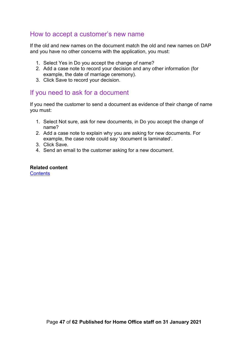#### <span id="page-46-0"></span>How to accept a customer's new name

If the old and new names on the document match the old and new names on DAP and you have no other concerns with the application, you must:

- 1. Select Yes in Do you accept the change of name?
- 2. Add a case note to record your decision and any other information (for example, the date of marriage ceremony).
- 3. Click Save to record your decision.

### <span id="page-46-1"></span>If you need to ask for a document

If you need the customer to send a document as evidence of their change of name you must:

- 1. Select Not sure, ask for new documents, in Do you accept the change of name?
- 2. Add a case note to explain why you are asking for new documents. For example, the case note could say 'document is laminated'.
- 3. Click Save.
- 4. Send an email to the customer asking for a new document.

#### **Related content [Contents](#page-1-0)**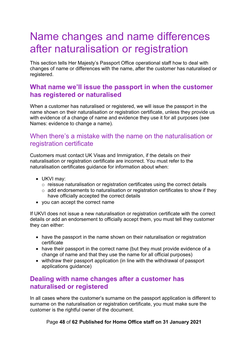# <span id="page-47-0"></span>Name changes and name differences after naturalisation or registration

This section tells Her Majesty's Passport Office operational staff how to deal with changes of name or differences with the name, after the customer has naturalised or registered.

# <span id="page-47-1"></span>**What name we'll issue the passport in when the customer has registered or naturalised**

When a customer has naturalised or registered, we will issue the passport in the name shown on their naturalisation or registration certificate, unless they provide us with evidence of a change of name and evidence they use it for all purposes (see Names: evidence to change a name).

#### <span id="page-47-2"></span>When there's a mistake with the name on the naturalisation or registration certificate

Customers must contact UK Visas and Immigration, if the details on their naturalisation or registration certificate are incorrect. You must refer to the naturalisation certificates guidance for information about when:

- UKVI may:
	- o reissue naturalisation or registration certificates using the correct details
	- $\circ$  add endorsements to naturalisation or registration certificates to show if they have officially accepted the correct details
- you can accept the correct name

If UKVI does not issue a new naturalisation or registration certificate with the correct details or add an endorsement to officially accept them, you must tell they customer they can either:

- have the passport in the name shown on their naturalisation or registration certificate
- have their passport in the correct name (but they must provide evidence of a change of name and that they use the name for all official purposes)
- withdraw their passport application (in line with the withdrawal of passport applications guidance)

## <span id="page-47-3"></span>**Dealing with name changes after a customer has naturalised or registered**

In all cases where the customer's surname on the passport application is different to surname on the naturalisation or registration certificate, you must make sure the customer is the rightful owner of the document.

Page **48** of **62 Published for Home Office staff on 31 January 2021**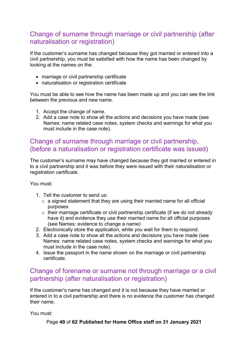# <span id="page-48-0"></span>Change of surname through marriage or civil partnership (after naturalisation or registration)

If the customer's surname has changed because they got married or entered into a civil partnership, you must be satisfied with how the name has been changed by looking at the names on the:

- marriage or civil partnership certificate
- naturalisation or registration certificate

You must be able to see how the name has been made up and you can see the link between the previous and new name.

- 1. Accept the change of name.
- 2. Add a case note to show all the actions and decisions you have made (see Names: name related case notes, system checks and warnings for what you must include in the case note).

# <span id="page-48-1"></span>Change of surname through marriage or civil partnership, (before a naturalisation or registration certificate was issued)

The customer's surname may have changed because they got married or entered in to a civil partnership and it was before they were issued with their naturalisation or registration certificate.

You must:

- 1. Tell the customer to send us:
	- $\circ$  a signed statement that they are using their married name for all official purposes
	- o their marriage certificate or civil partnership certificate (if we do not already have it) and evidence they use their married name for all official purposes (see Names: evidence to change a name)
- 2. Electronically store the application, while you wait for them to respond.
- 3. Add a case note to show all the actions and decisions you have made (see Names: name related case notes, system checks and warnings for what you must include in the case note).
- 4. Issue the passport in the name shown on the marriage or civil partnership certificate.

## <span id="page-48-2"></span>Change of forename or surname not through marriage or a civil partnership (after naturalisation or registration)

If the customer's name has changed and it is not because they have married or entered in to a civil partnership and there is no evidence the customer has changed their name.

You must:

Page **49** of **62 Published for Home Office staff on 31 January 2021**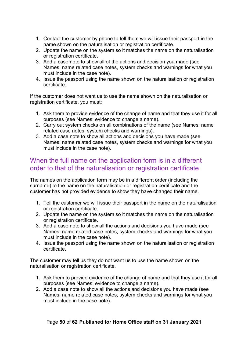- 1. Contact the customer by phone to tell them we will issue their passport in the name shown on the naturalisation or registration certificate.
- 2. Update the name on the system so it matches the name on the naturalisation or registration certificate.
- 3. Add a case note to show all of the actions and decision you made (see Names: name related case notes, system checks and warnings for what you must include in the case note).
- 4. Issue the passport using the name shown on the naturalisation or registration certificate.

If the customer does not want us to use the name shown on the naturalisation or registration certificate, you must:

- 1. Ask them to provide evidence of the change of name and that they use it for all purposes (see Names: evidence to change a name).
- 2. Carry out system checks on all combinations of the name (see Names: name related case notes, system checks and warnings).
- 3. Add a case note to show all actions and decisions you have made (see Names: name related case notes, system checks and warnings for what you must include in the case note).

### <span id="page-49-0"></span>When the full name on the application form is in a different order to that of the naturalisation or registration certificate

The names on the application form may be in a different order (including the surname) to the name on the naturalisation or registration certificate and the customer has not provided evidence to show they have changed their name.

- 1. Tell the customer we will issue their passport in the name on the naturalisation or registration certificate.
- 2. Update the name on the system so it matches the name on the naturalisation or registration certificate.
- 3. Add a case note to show all the actions and decisions you have made (see Names: name related case notes, system checks and warnings for what you must include in the case note).
- 4. Issue the passport using the name shown on the naturalisation or registration certificate.

The customer may tell us they do not want us to use the name shown on the naturalisation or registration certificate.

- 1. Ask them to provide evidence of the change of name and that they use it for all purposes (see Names: evidence to change a name).
- 2. Add a case note to show all the actions and decisions you have made (see Names: name related case notes, system checks and warnings for what you must include in the case note).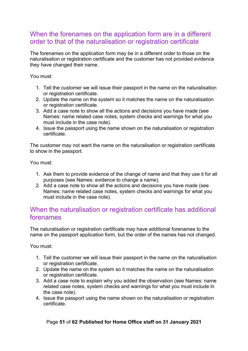# <span id="page-50-0"></span>When the forenames on the application form are in a different order to that of the naturalisation or registration certificate

The forenames on the application form may be in a different order to those on the naturalisation or registration certificate and the customer has not provided evidence they have changed their name.

You must:

- 1. Tell the customer we will issue their passport in the name on the naturalisation or registration certificate.
- 2. Update the name on the system so it matches the name on the naturalisation or registration certificate.
- 3. Add a case note to show all the actions and decisions you have made (see Names: name related case notes, system checks and warnings for what you must include in the case note).
- 4. Issue the passport using the name shown on the naturalisation or registration certificate.

The customer may not want the name on the naturalisation or registration certificate to show in the passport.

You must:

- 1. Ask them to provide evidence of the change of name and that they use it for all purposes (see Names: evidence to change a name).
- 2. Add a case note to show all the actions and decisions you have made (see Names: name related case notes, system checks and warnings for what you must include in the case note).

## <span id="page-50-1"></span>When the naturalisation or registration certificate has additional forenames

The naturalisation or registration certificate may have additional forenames to the name on the passport application form, but the order of the names has not changed.

You must:

- 1. Tell the customer we will issue their passport in the name on the naturalisation or registration certificate.
- 2. Update the name on the system so it matches the name on the naturalisation or registration certificate.
- 3. Add a case note to explain why you added the observation (see Names: name related case notes, system checks and warnings for what you must include in the case note).
- 4. Issue the passport using the name shown on the naturalisation or registration certificate.

#### Page **51** of **62 Published for Home Office staff on 31 January 2021**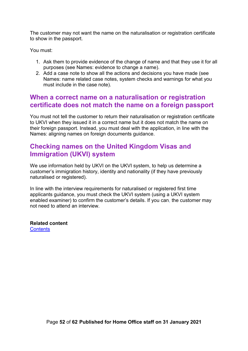The customer may not want the name on the naturalisation or registration certificate to show in the passport.

You must:

- 1. Ask them to provide evidence of the change of name and that they use it for all purposes (see Names: evidence to change a name).
- 2. Add a case note to show all the actions and decisions you have made (see Names: name related case notes, system checks and warnings for what you must include in the case note).

#### <span id="page-51-0"></span>**When a correct name on a naturalisation or registration certificate does not match the name on a foreign passport**

You must not tell the customer to return their naturalisation or registration certificate to UKVI when they issued it in a correct name but it does not match the name on their foreign passport. Instead, you must deal with the application, in line with the Names: aligning names on foreign documents guidance.

## <span id="page-51-1"></span>**Checking names on the United Kingdom Visas and Immigration (UKVI) system**

We use information held by UKVI on the UKVI system, to help us determine a customer's immigration history, identity and nationality (if they have previously naturalised or registered).

In line with the interview requirements for naturalised or registered first time applicants guidance, you must check the UKVI system (using a UKVI system enabled examiner) to confirm the customer's details. If you can, the customer may not need to attend an interview.

<span id="page-51-2"></span>**Related content [Contents](#page-1-0)**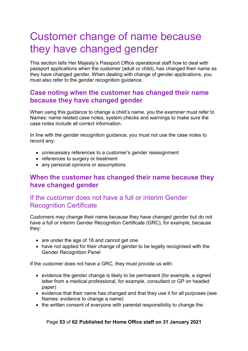# <span id="page-52-0"></span>Customer change of name because they have changed gender

This section tells Her Majesty's Passport Office operational staff how to deal with passport applications when the customer (adult or child), has changed their name as they have changed gender. When dealing with change of gender applications, you must also refer to the gender recognition guidance.

### <span id="page-52-1"></span>**Case noting when the customer has changed their name because they have changed gender**

When using this guidance to change a child's name, you the examiner must refer to Names: name related case notes, system checks and warnings to make sure the case notes include all correct information.

In line with the gender recognition guidance, you must not use the case notes to record any:

- unnecessary references to a customer's gender reassignment
- references to surgery or treatment
- any personal opinions or assumptions

### <span id="page-52-2"></span>**When the customer has changed their name because they have changed gender**

### <span id="page-52-3"></span>If the customer does not have a full or interim Gender Recognition Certificate

Customers may change their name because they have changed gender but do not have a full or interim Gender Recognition Certificate (GRC), for example, because they:

- are under the age of 18 and cannot get one
- have not applied for their change of gender to be legally recognised with the Gender Recognition Panel

If the customer does not have a GRC, they must provide us with:

- evidence the gender change is likely to be permanent (for example, a signed letter from a medical professional, for example, consultant or GP on headed paper)
- evidence that their name has changed and that they use it for all purposes (see Names: evidence to change a name)
- the written consent of everyone with parental responsibility to change the:

#### Page **53** of **62 Published for Home Office staff on 31 January 2021**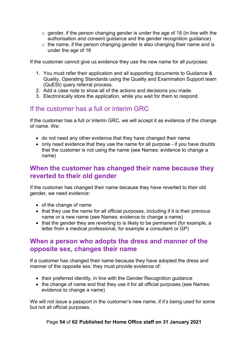- $\circ$  gender, if the person changing gender is under the age of 18 (in line with the authorisation and consent guidance and the gender recognition guidance)
- $\circ$  the name, if the person changing gender is also changing their name and is under the age of 16

If the customer cannot give us evidence they use the new name for all purposes:

- 1. You must refer their application and all supporting documents to Guidance & Quality, Operating Standards using the Quality and Examination Support team (QuESt) [query referral process.](file://sdcp3cfi075.poise.homeoffice.local/cfp/_WCFP/OA%20Operations%20Mgt/9906%20New%20Guidance/12%20READY%20FOR%20PUBLICATION/09%20Useful%20Docs/02%20Forms/15%20Query%20referral%20process/BLANK%20ONG%20Referral%20Proforma%20v1.0.docx)
- 2. Add a case note to show all of the actions and decisions you made.
- 3. Electronically store the application, while you wait for them to respond.

#### <span id="page-53-0"></span>If the customer has a full or interim GRC

If the customer has a full or interim GRC, we will accept it as evidence of the change of name. We:

- do not need any other evidence that they have changed their name
- only need evidence that they use the name for all purpose if you have doubts that the customer is not using the name (see Names: evidence to change a name)

### <span id="page-53-1"></span>**When the customer has changed their name because they reverted to their old gender**

If the customer has changed their name because they have reverted to their old gender, we need evidence:

- of the change of name
- that they use the name for all official purposes, including if it is their previous name or a new name (see Names: evidence to change a name)
- that the gender they are reverting to is likely to be permanent (for example, a letter from a medical professional, for example a consultant or GP)

### <span id="page-53-2"></span>**When a person who adopts the dress and manner of the opposite sex, changes their name**

If a customer has changed their name because they have adopted the dress and manner of the opposite sex, they must provide evidence of:

- their preferred identity, in line with the Gender Recognition guidance
- the change of name and that they use it for all official purposes (see Names: evidence to change a name)

We will not issue a passport in the customer's new name, if it's being used for some but not all official purposes.

Page **54** of **62 Published for Home Office staff on 31 January 2021**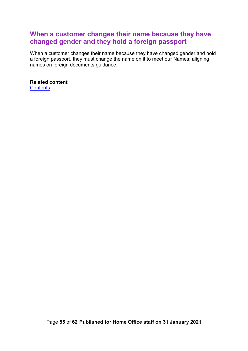## <span id="page-54-0"></span>**When a customer changes their name because they have changed gender and they hold a foreign passport**

When a customer changes their name because they have changed gender and hold a foreign passport, they must change the name on it to meet our Names: aligning names on foreign documents guidance.

<span id="page-54-1"></span>**Related content [Contents](#page-1-0)**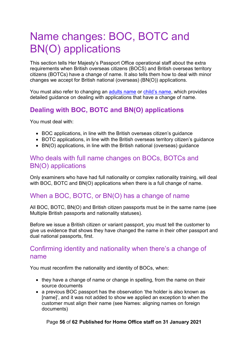# <span id="page-55-0"></span>Name changes: BOC, BOTC and BN(O) applications

This section tells Her Majesty's Passport Office operational staff about the extra requirements when British overseas citizens (BOCS) and British overseas territory citizens (BOTCs) have a change of name. It also tells them how to deal with minor changes we accept for British national (overseas) (BN(O)) applications.

You must also refer to changing an [adults](#page-10-0) name or [child's name,](#page-25-1) which provides detailed guidance on dealing with applications that have a change of name.

# <span id="page-55-1"></span>**Dealing with BOC, BOTC and BN(O) applications**

You must deal with:

- BOC applications, in line with the British overseas citizen's guidance
- BOTC applications, in line with the British overseas territory citizen's guidance
- BN(O) applications, in line with the British national (overseas) guidance

### <span id="page-55-2"></span>Who deals with full name changes on BOCs, BOTCs and BN(O) applications

Only examiners who have had full nationality or complex nationality training, will deal with BOC, BOTC and BN(O) applications when there is a full change of name.

# <span id="page-55-3"></span>When a BOC, BOTC, or BN(O) has a change of name

All BOC, BOTC, BN(O) and British citizen passports must be in the same name (see Multiple British passports and nationality statuses).

Before we issue a British citizen or variant passport, you must tell the customer to give us evidence that shows they have changed the name in their other passport and dual national passports, first.

### <span id="page-55-4"></span>Confirming identity and nationality when there's a change of name

You must reconfirm the nationality and identity of BOCs, when:

- they have a change of name or change in spelling, from the name on their source documents
- a previous BOC passport has the observation 'the holder is also known as [name]', and it was not added to show we applied an exception to when the customer must align their name (see Names: aligning names on foreign documents)

Page **56** of **62 Published for Home Office staff on 31 January 2021**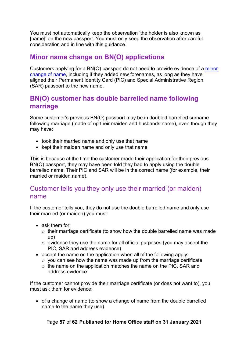You must not automatically keep the observation 'the holder is also known as [name]' on the new passport. You must only keep the observation after careful consideration and in line with this guidance.

# <span id="page-56-0"></span>**Minor name change on BN(O) applications**

Customers applying for a BN(O) passport do not need to provide evidence of a [minor](#page-20-0)  [change of name,](#page-20-0) including if they added new forenames, as long as they have aligned their Permanent Identity Card (PIC) and Special Administrative Region (SAR) passport to the new name.

# <span id="page-56-1"></span>**BN(O) customer has double barrelled name following marriage**

Some customer's previous BN(O) passport may be in doubled barrelled surname following marriage (made of up their maiden and husbands name), even though they may have:

- took their married name and only use that name
- kept their maiden name and only use that name

This is because at the time the customer made their application for their previous BN(O) passport, they may have been told they had to apply using the double barrelled name. Their PIC and SAR will be in the correct name (for example, their married or maiden name).

### <span id="page-56-2"></span>Customer tells you they only use their married (or maiden) name

If the customer tells you, they do not use the double barrelled name and only use their married (or maiden) you must:

- ask them for:
	- $\circ$  their marriage certificate (to show how the double barrelled name was made up)
	- o evidence they use the name for all official purposes (you may accept the PIC, SAR and address evidence)
- accept the name on the application when all of the following apply:
	- $\circ$  you can see how the name was made up from the marriage certificate
	- o the name on the application matches the name on the PIC, SAR and address evidence

If the customer cannot provide their marriage certificate (or does not want to), you must ask them for evidence:

• of a change of name (to show a change of name from the double barrelled name to the name they use)

Page **57** of **62 Published for Home Office staff on 31 January 2021**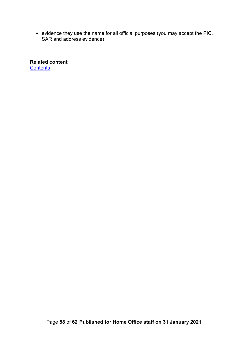• evidence they use the name for all official purposes (you may accept the PIC, SAR and address evidence)

<span id="page-57-1"></span><span id="page-57-0"></span>**Related content [Contents](#page-1-0)**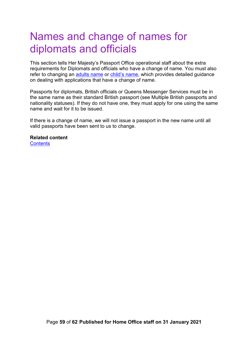# <span id="page-58-0"></span>Names and change of names for diplomats and officials

This section tells Her Majesty's Passport Office operational staff about the extra requirements for Diplomats and officials who have a change of name. You must also refer to changing an [adults name](#page-10-0) or [child's name,](#page-25-1) which provides detailed guidance on dealing with applications that have a change of name.

Passports for diplomats, British officials or Queens Messenger Services must be in the same name as their standard British passport (see Multiple British passports and nationality statuses). If they do not have one, they must apply for one using the same name and wait for it to be issued.

If there is a change of name, we will not issue a passport in the new name until all valid passports have been sent to us to change.

# **Related content**

**[Contents](#page-1-0)**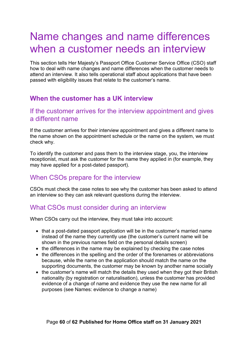# <span id="page-59-0"></span>Name changes and name differences when a customer needs an interview

This section tells Her Majesty's Passport Office Customer Service Office (CSO) staff how to deal with name changes and name differences when the customer needs to attend an interview. It also tells operational staff about applications that have been passed with eligibility issues that relate to the customer's name.

## <span id="page-59-1"></span>**When the customer has a UK interview**

#### <span id="page-59-2"></span>If the customer arrives for the interview appointment and gives a different name

If the customer arrives for their interview appointment and gives a different name to the name shown on the appointment schedule or the name on the system, we must check why.

To identify the customer and pass them to the interview stage, you, the interview receptionist, must ask the customer for the name they applied in (for example, they may have applied for a post-dated passport).

## <span id="page-59-3"></span>When CSOs prepare for the interview

CSOs must check the case notes to see why the customer has been asked to attend an interview so they can ask relevant questions during the interview.

#### <span id="page-59-4"></span>What CSOs must consider during an interview

When CSOs carry out the interview, they must take into account:

- that a post-dated passport application will be in the customer's married name instead of the name they currently use (the customer's current name will be shown in the previous names field on the personal details screen)
- the differences in the name may be explained by checking the case notes
- the differences in the spelling and the order of the forenames or abbreviations because, while the name on the application should match the name on the supporting documents, the customer may be known by another name socially
- the customer's name will match the details they used when they got their British nationality (by registration or naturalisation), unless the customer has provided evidence of a change of name and evidence they use the new name for all purposes (see Names: evidence to change a name)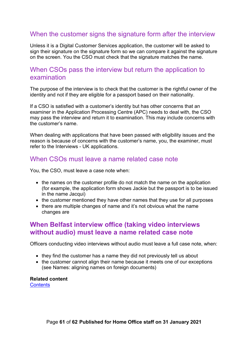### <span id="page-60-0"></span>When the customer signs the signature form after the interview

Unless it is a Digital Customer Services application, the customer will be asked to sign their signature on the signature form so we can compare it against the signature on the screen. You the CSO must check that the signature matches the name.

#### <span id="page-60-1"></span>When CSOs pass the interview but return the application to examination

The purpose of the interview is to check that the customer is the rightful owner of the identity and not if they are eligible for a passport based on their nationality.

If a CSO is satisfied with a customer's identity but has other concerns that an examiner in the Application Processing Centre (APC) needs to deal with, the CSO may pass the interview and return it to examination. This may include concerns with the customer's name.

When dealing with applications that have been passed with eligibility issues and the reason is because of concerns with the customer's name, you, the examiner, must refer to the Interviews - UK applications.

#### <span id="page-60-2"></span>When CSOs must leave a name related case note

You, the CSO, must leave a case note when:

- the names on the customer profile do not match the name on the application (for example, the application form shows Jackie but the passport is to be issued in the name Jacqui)
- the customer mentioned they have other names that they use for all purposes
- there are multiple changes of name and it's not obvious what the name changes are

#### <span id="page-60-3"></span>**When Belfast interview office (taking video interviews without audio) must leave a name related case note**

Officers conducting video interviews without audio must leave a full case note, when:

- they find the customer has a name they did not previously tell us about
- the customer cannot align their name because it meets one of our exceptions (see Names: aligning names on foreign documents)

**Related content [Contents](#page-1-0)**